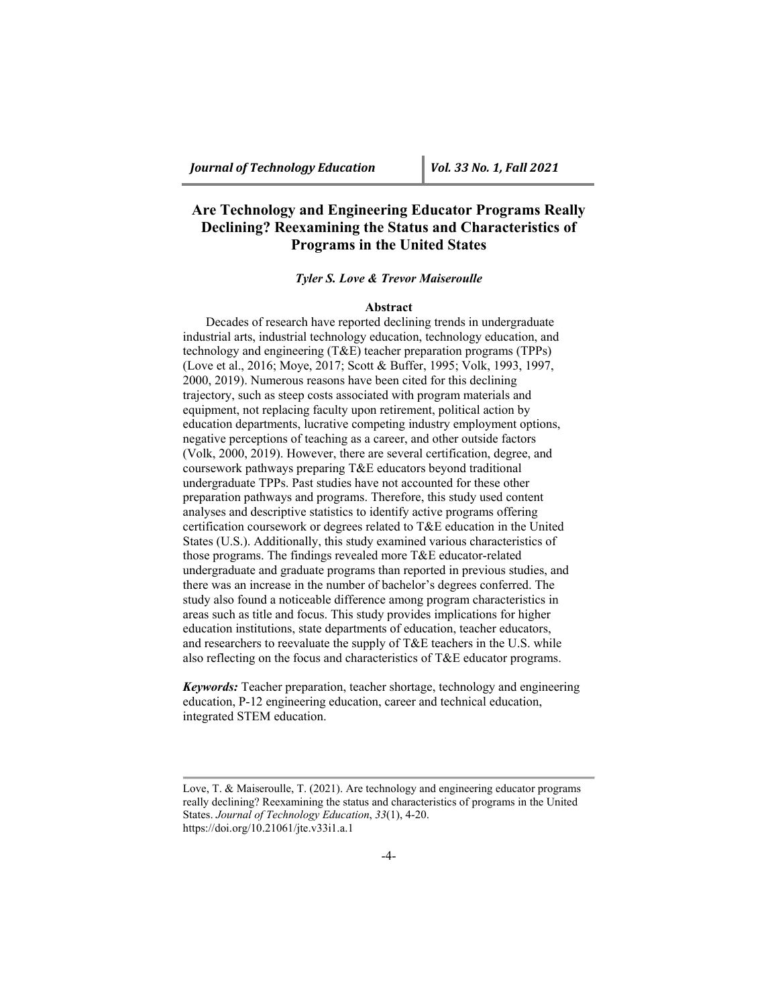# **Are Technology and Engineering Educator Programs Really Declining? Reexamining the Status and Characteristics of Programs in the United States**

## *Tyler S. Love & Trevor Maiseroulle*

## **Abstract**

Decades of research have reported declining trends in undergraduate industrial arts, industrial technology education, technology education, and technology and engineering (T&E) teacher preparation programs (TPPs) (Love et al., 2016; Moye, 2017; Scott & Buffer, 1995; Volk, 1993, 1997, 2000, 2019). Numerous reasons have been cited for this declining trajectory, such as steep costs associated with program materials and equipment, not replacing faculty upon retirement, political action by education departments, lucrative competing industry employment options, negative perceptions of teaching as a career, and other outside factors (Volk, 2000, 2019). However, there are several certification, degree, and coursework pathways preparing T&E educators beyond traditional undergraduate TPPs. Past studies have not accounted for these other preparation pathways and programs. Therefore, this study used content analyses and descriptive statistics to identify active programs offering certification coursework or degrees related to T&E education in the United States (U.S.). Additionally, this study examined various characteristics of those programs. The findings revealed more T&E educator-related undergraduate and graduate programs than reported in previous studies, and there was an increase in the number of bachelor's degrees conferred. The study also found a noticeable difference among program characteristics in areas such as title and focus. This study provides implications for higher education institutions, state departments of education, teacher educators, and researchers to reevaluate the supply of T&E teachers in the U.S. while also reflecting on the focus and characteristics of T&E educator programs.

*Keywords:* Teacher preparation, teacher shortage, technology and engineering education, P-12 engineering education, career and technical education, integrated STEM education.

Love, T. & Maiseroulle, T. (2021). Are technology and engineering educator programs really declining? Reexamining the status and characteristics of programs in the United States. *Journal of Technology Education*, *33*(1), 4-20. https://doi.org/10.21061/jte.v33i1.a.1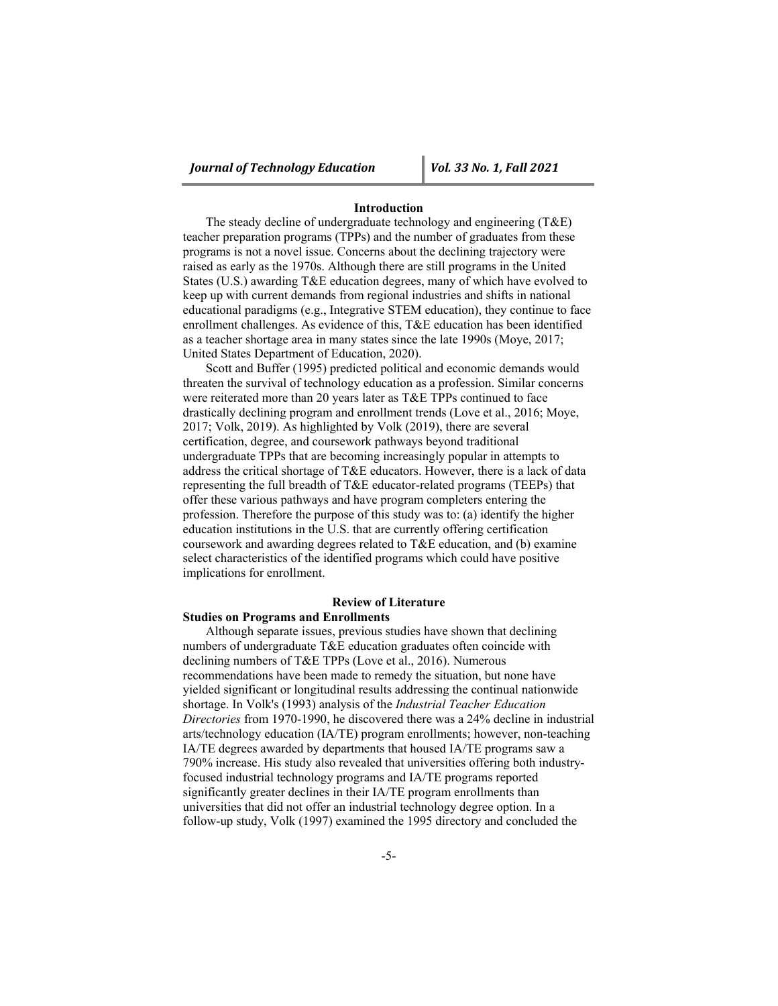## **Introduction**

The steady decline of undergraduate technology and engineering (T&E) teacher preparation programs (TPPs) and the number of graduates from these programs is not a novel issue. Concerns about the declining trajectory were raised as early as the 1970s. Although there are still programs in the United States (U.S.) awarding T&E education degrees, many of which have evolved to keep up with current demands from regional industries and shifts in national educational paradigms (e.g., Integrative STEM education), they continue to face enrollment challenges. As evidence of this, T&E education has been identified as a teacher shortage area in many states since the late 1990s (Moye, 2017; United States Department of Education, 2020).

Scott and Buffer (1995) predicted political and economic demands would threaten the survival of technology education as a profession. Similar concerns were reiterated more than 20 years later as T&E TPPs continued to face drastically declining program and enrollment trends (Love et al., 2016; Moye, 2017; Volk, 2019). As highlighted by Volk (2019), there are several certification, degree, and coursework pathways beyond traditional undergraduate TPPs that are becoming increasingly popular in attempts to address the critical shortage of T&E educators. However, there is a lack of data representing the full breadth of T&E educator-related programs (TEEPs) that offer these various pathways and have program completers entering the profession. Therefore the purpose of this study was to: (a) identify the higher education institutions in the U.S. that are currently offering certification coursework and awarding degrees related to T&E education, and (b) examine select characteristics of the identified programs which could have positive implications for enrollment.

## **Review of Literature**

## **Studies on Programs and Enrollments**

Although separate issues, previous studies have shown that declining numbers of undergraduate T&E education graduates often coincide with declining numbers of T&E TPPs (Love et al., 2016). Numerous recommendations have been made to remedy the situation, but none have yielded significant or longitudinal results addressing the continual nationwide shortage. In Volk's (1993) analysis of the *Industrial Teacher Education Directories* from 1970-1990, he discovered there was a 24% decline in industrial arts/technology education (IA/TE) program enrollments; however, non-teaching IA/TE degrees awarded by departments that housed IA/TE programs saw a 790% increase. His study also revealed that universities offering both industryfocused industrial technology programs and IA/TE programs reported significantly greater declines in their IA/TE program enrollments than universities that did not offer an industrial technology degree option. In a follow-up study, Volk (1997) examined the 1995 directory and concluded the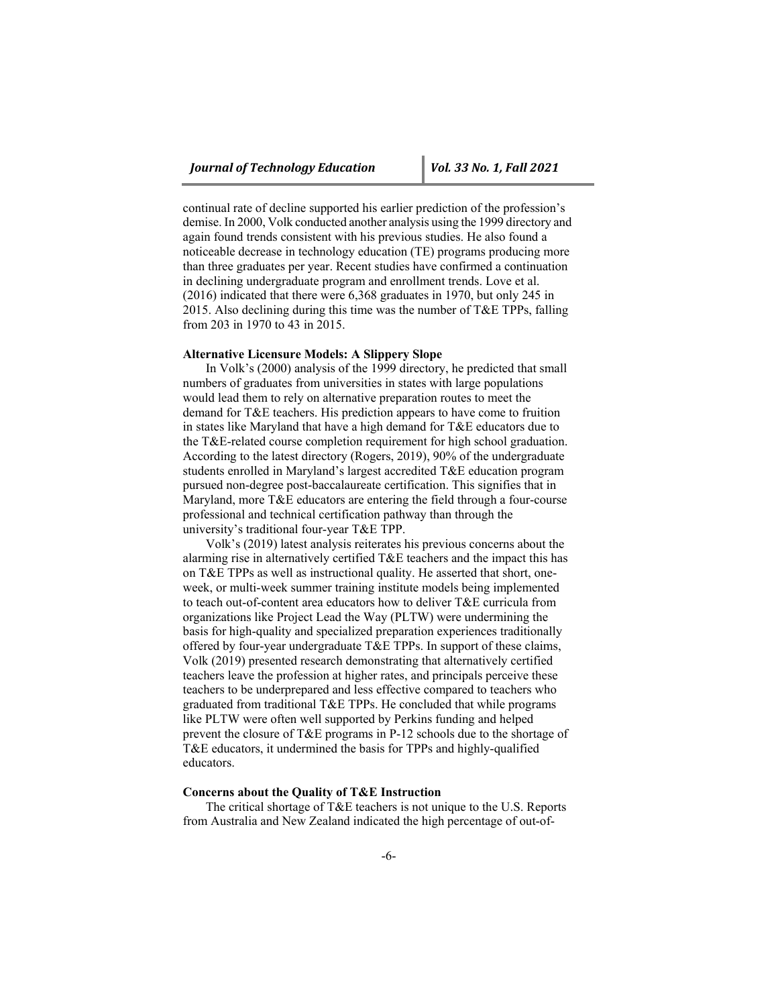continual rate of decline supported his earlier prediction of the profession's demise. In 2000, Volk conducted another analysis using the 1999 directory and again found trends consistent with his previous studies. He also found a noticeable decrease in technology education (TE) programs producing more than three graduates per year. Recent studies have confirmed a continuation in declining undergraduate program and enrollment trends. Love et al. (2016) indicated that there were 6,368 graduates in 1970, but only 245 in 2015. Also declining during this time was the number of  $TAE$  TPPs, falling from 203 in 1970 to 43 in 2015.

### **Alternative Licensure Models: A Slippery Slope**

In Volk's (2000) analysis of the 1999 directory, he predicted that small numbers of graduates from universities in states with large populations would lead them to rely on alternative preparation routes to meet the demand for T&E teachers. His prediction appears to have come to fruition in states like Maryland that have a high demand for T&E educators due to the T&E-related course completion requirement for high school graduation. According to the latest directory (Rogers, 2019), 90% of the undergraduate students enrolled in Maryland's largest accredited T&E education program pursued non-degree post-baccalaureate certification. This signifies that in Maryland, more T&E educators are entering the field through a four-course professional and technical certification pathway than through the university's traditional four-year T&E TPP.

Volk's (2019) latest analysis reiterates his previous concerns about the alarming rise in alternatively certified T&E teachers and the impact this has on T&E TPPs as well as instructional quality. He asserted that short, oneweek, or multi-week summer training institute models being implemented to teach out-of-content area educators how to deliver T&E curricula from organizations like Project Lead the Way (PLTW) were undermining the basis for high-quality and specialized preparation experiences traditionally offered by four-year undergraduate T&E TPPs. In support of these claims, Volk (2019) presented research demonstrating that alternatively certified teachers leave the profession at higher rates, and principals perceive these teachers to be underprepared and less effective compared to teachers who graduated from traditional T&E TPPs. He concluded that while programs like PLTW were often well supported by Perkins funding and helped prevent the closure of T&E programs in P-12 schools due to the shortage of T&E educators, it undermined the basis for TPPs and highly-qualified educators.

## **Concerns about the Quality of T&E Instruction**

The critical shortage of T&E teachers is not unique to the U.S. Reports from Australia and New Zealand indicated the high percentage of out-of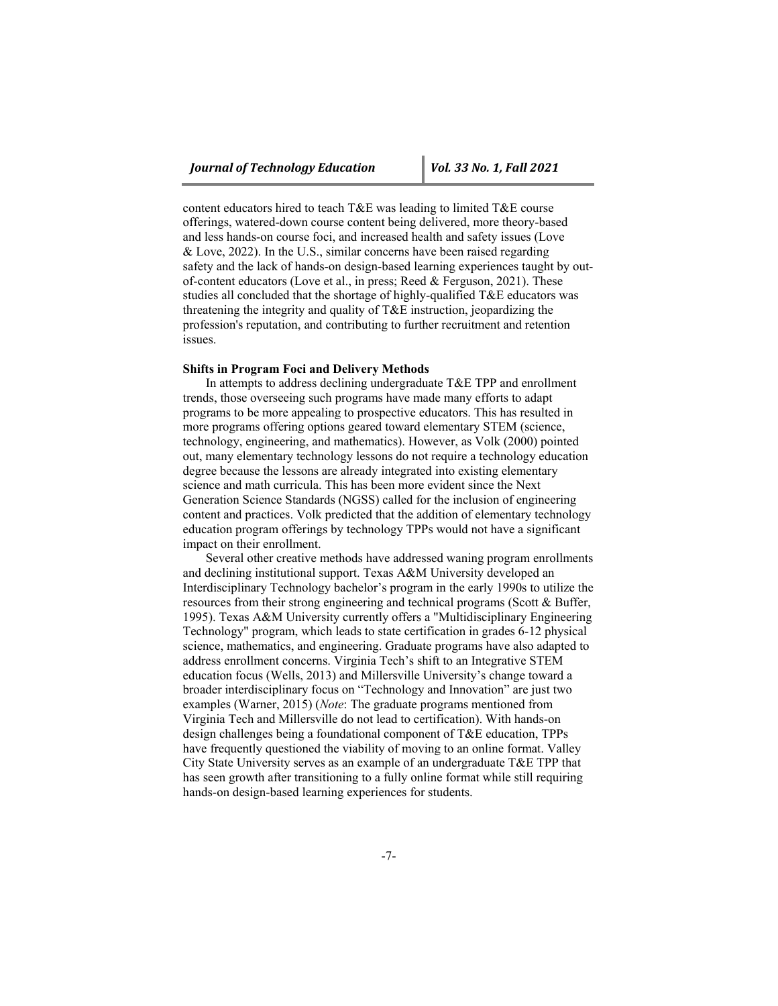content educators hired to teach T&E was leading to limited T&E course offerings, watered-down course content being delivered, more theory-based and less hands-on course foci, and increased health and safety issues (Love & Love, 2022). In the U.S., similar concerns have been raised regarding safety and the lack of hands-on design-based learning experiences taught by outof-content educators (Love et al., in press; Reed & Ferguson, 2021). These studies all concluded that the shortage of highly-qualified T&E educators was threatening the integrity and quality of T&E instruction, jeopardizing the profession's reputation, and contributing to further recruitment and retention issues.

#### **Shifts in Program Foci and Delivery Methods**

In attempts to address declining undergraduate T&E TPP and enrollment trends, those overseeing such programs have made many efforts to adapt programs to be more appealing to prospective educators. This has resulted in more programs offering options geared toward elementary STEM (science, technology, engineering, and mathematics). However, as Volk (2000) pointed out, many elementary technology lessons do not require a technology education degree because the lessons are already integrated into existing elementary science and math curricula. This has been more evident since the Next Generation Science Standards (NGSS) called for the inclusion of engineering content and practices. Volk predicted that the addition of elementary technology education program offerings by technology TPPs would not have a significant impact on their enrollment.

Several other creative methods have addressed waning program enrollments and declining institutional support. Texas A&M University developed an Interdisciplinary Technology bachelor's program in the early 1990s to utilize the resources from their strong engineering and technical programs (Scott & Buffer, 1995). Texas A&M University currently offers a "Multidisciplinary Engineering Technology" program, which leads to state certification in grades 6-12 physical science, mathematics, and engineering. Graduate programs have also adapted to address enrollment concerns. Virginia Tech's shift to an Integrative STEM education focus (Wells, 2013) and Millersville University's change toward a broader interdisciplinary focus on "Technology and Innovation" are just two examples (Warner, 2015) (*Note*: The graduate programs mentioned from Virginia Tech and Millersville do not lead to certification). With hands-on design challenges being a foundational component of T&E education, TPPs have frequently questioned the viability of moving to an online format. Valley City State University serves as an example of an undergraduate T&E TPP that has seen growth after transitioning to a fully online format while still requiring hands-on design-based learning experiences for students.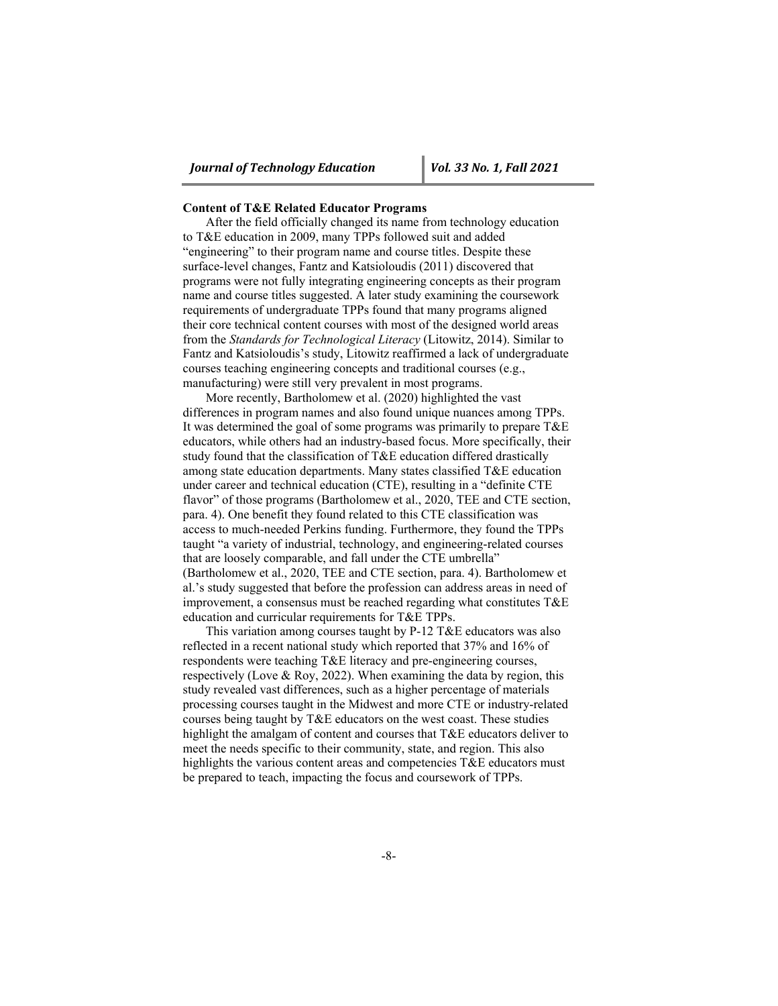#### **Content of T&E Related Educator Programs**

After the field officially changed its name from technology education to T&E education in 2009, many TPPs followed suit and added "engineering" to their program name and course titles. Despite these surface-level changes, Fantz and Katsioloudis (2011) discovered that programs were not fully integrating engineering concepts as their program name and course titles suggested. A later study examining the coursework requirements of undergraduate TPPs found that many programs aligned their core technical content courses with most of the designed world areas from the *Standards for Technological Literacy* (Litowitz, 2014). Similar to Fantz and Katsioloudis's study, Litowitz reaffirmed a lack of undergraduate courses teaching engineering concepts and traditional courses (e.g., manufacturing) were still very prevalent in most programs.

More recently, Bartholomew et al. (2020) highlighted the vast differences in program names and also found unique nuances among TPPs. It was determined the goal of some programs was primarily to prepare T&E educators, while others had an industry-based focus. More specifically, their study found that the classification of T&E education differed drastically among state education departments. Many states classified T&E education under career and technical education (CTE), resulting in a "definite CTE flavor" of those programs (Bartholomew et al., 2020, TEE and CTE section, para. 4). One benefit they found related to this CTE classification was access to much-needed Perkins funding. Furthermore, they found the TPPs taught "a variety of industrial, technology, and engineering-related courses that are loosely comparable, and fall under the CTE umbrella" (Bartholomew et al., 2020, TEE and CTE section, para. 4). Bartholomew et al.'s study suggested that before the profession can address areas in need of improvement, a consensus must be reached regarding what constitutes T&E education and curricular requirements for T&E TPPs.

This variation among courses taught by P-12 T&E educators was also reflected in a recent national study which reported that 37% and 16% of respondents were teaching T&E literacy and pre-engineering courses, respectively (Love & Roy, 2022). When examining the data by region, this study revealed vast differences, such as a higher percentage of materials processing courses taught in the Midwest and more CTE or industry-related courses being taught by T&E educators on the west coast. These studies highlight the amalgam of content and courses that T&E educators deliver to meet the needs specific to their community, state, and region. This also highlights the various content areas and competencies T&E educators must be prepared to teach, impacting the focus and coursework of TPPs.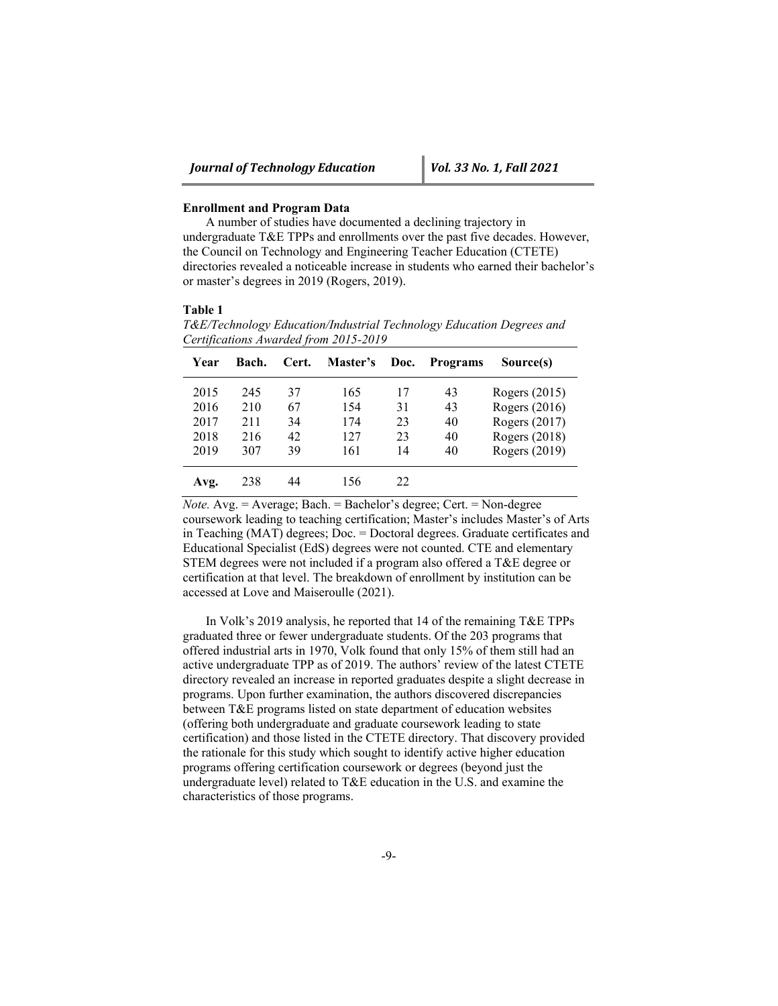#### **Enrollment and Program Data**

A number of studies have documented a declining trajectory in undergraduate T&E TPPs and enrollments over the past five decades. However, the Council on Technology and Engineering Teacher Education (CTETE) directories revealed a noticeable increase in students who earned their bachelor's or master's degrees in 2019 (Rogers, 2019).

#### **Table 1**

*T&E/Technology Education/Industrial Technology Education Degrees and Certifications Awarded from 2015-2019* 

| Year | Bach. | Cert. | Master's | Doc. | <b>Programs</b> | Source(s)     |
|------|-------|-------|----------|------|-----------------|---------------|
| 2015 | 245   | 37    | 165      | 17   | 43              | Rogers (2015) |
| 2016 | 210   | 67    | 154      | 31   | 43              | Rogers (2016) |
| 2017 | 211   | 34    | 174      | 23   | 40              | Rogers (2017) |
| 2018 | 216   | 42    | 127      | 23   | 40              | Rogers (2018) |
| 2019 | 307   | 39    | 161      | 14   | 40              | Rogers (2019) |
| Avg. | 238   | 44    | 156      | 22   |                 |               |

*Note.* Avg. = Average; Bach. = Bachelor's degree; Cert. = Non-degree coursework leading to teaching certification; Master's includes Master's of Arts in Teaching (MAT) degrees; Doc. = Doctoral degrees. Graduate certificates and Educational Specialist (EdS) degrees were not counted. CTE and elementary STEM degrees were not included if a program also offered a T&E degree or certification at that level. The breakdown of enrollment by institution can be accessed at Love and Maiseroulle (2021).

In Volk's 2019 analysis, he reported that 14 of the remaining T&E TPPs graduated three or fewer undergraduate students. Of the 203 programs that offered industrial arts in 1970, Volk found that only 15% of them still had an active undergraduate TPP as of 2019. The authors' review of the latest CTETE directory revealed an increase in reported graduates despite a slight decrease in programs. Upon further examination, the authors discovered discrepancies between T&E programs listed on state department of education websites (offering both undergraduate and graduate coursework leading to state certification) and those listed in the CTETE directory. That discovery provided the rationale for this study which sought to identify active higher education programs offering certification coursework or degrees (beyond just the undergraduate level) related to T&E education in the U.S. and examine the characteristics of those programs.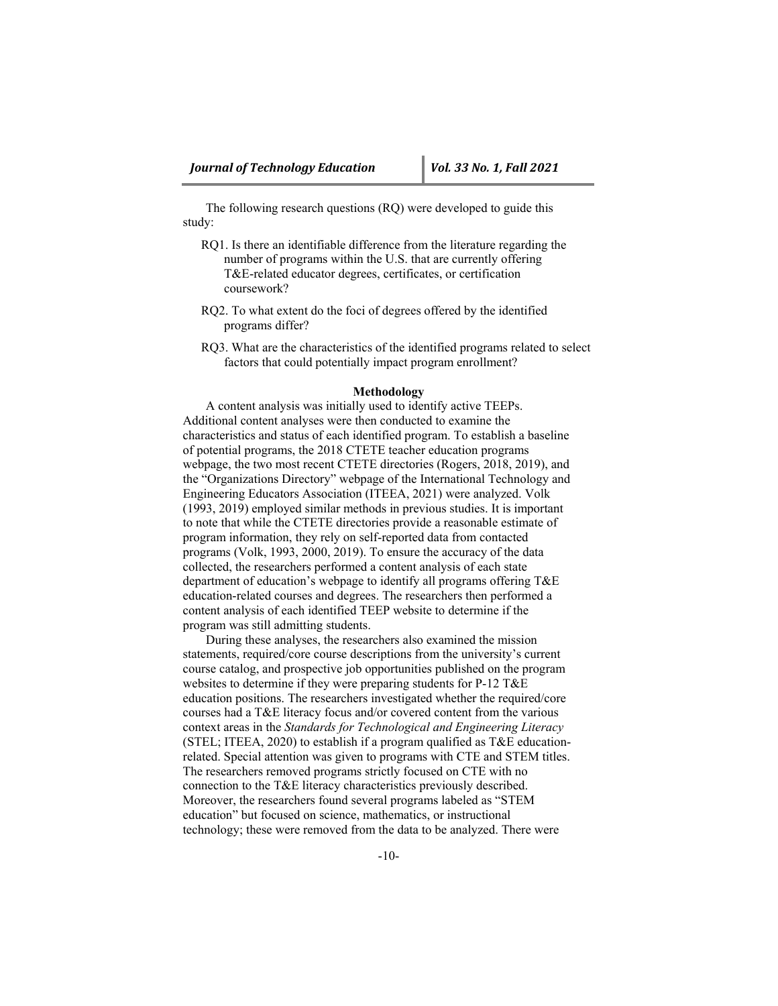The following research questions (RQ) were developed to guide this study:

- RQ1. Is there an identifiable difference from the literature regarding the number of programs within the U.S. that are currently offering T&E-related educator degrees, certificates, or certification coursework?
- RQ2. To what extent do the foci of degrees offered by the identified programs differ?
- RQ3. What are the characteristics of the identified programs related to select factors that could potentially impact program enrollment?

#### **Methodology**

A content analysis was initially used to identify active TEEPs. Additional content analyses were then conducted to examine the characteristics and status of each identified program. To establish a baseline of potential programs, the 2018 CTETE teacher education programs webpage, the two most recent CTETE directories (Rogers, 2018, 2019), and the "Organizations Directory" webpage of the International Technology and Engineering Educators Association (ITEEA, 2021) were analyzed. Volk (1993, 2019) employed similar methods in previous studies. It is important to note that while the CTETE directories provide a reasonable estimate of program information, they rely on self-reported data from contacted programs (Volk, 1993, 2000, 2019). To ensure the accuracy of the data collected, the researchers performed a content analysis of each state department of education's webpage to identify all programs offering T&E education-related courses and degrees. The researchers then performed a content analysis of each identified TEEP website to determine if the program was still admitting students.

During these analyses, the researchers also examined the mission statements, required/core course descriptions from the university's current course catalog, and prospective job opportunities published on the program websites to determine if they were preparing students for P-12 T&E education positions. The researchers investigated whether the required/core courses had a T&E literacy focus and/or covered content from the various context areas in the *Standards for Technological and Engineering Literacy* (STEL; ITEEA, 2020) to establish if a program qualified as T&E educationrelated. Special attention was given to programs with CTE and STEM titles. The researchers removed programs strictly focused on CTE with no connection to the T&E literacy characteristics previously described. Moreover, the researchers found several programs labeled as "STEM education" but focused on science, mathematics, or instructional technology; these were removed from the data to be analyzed. There were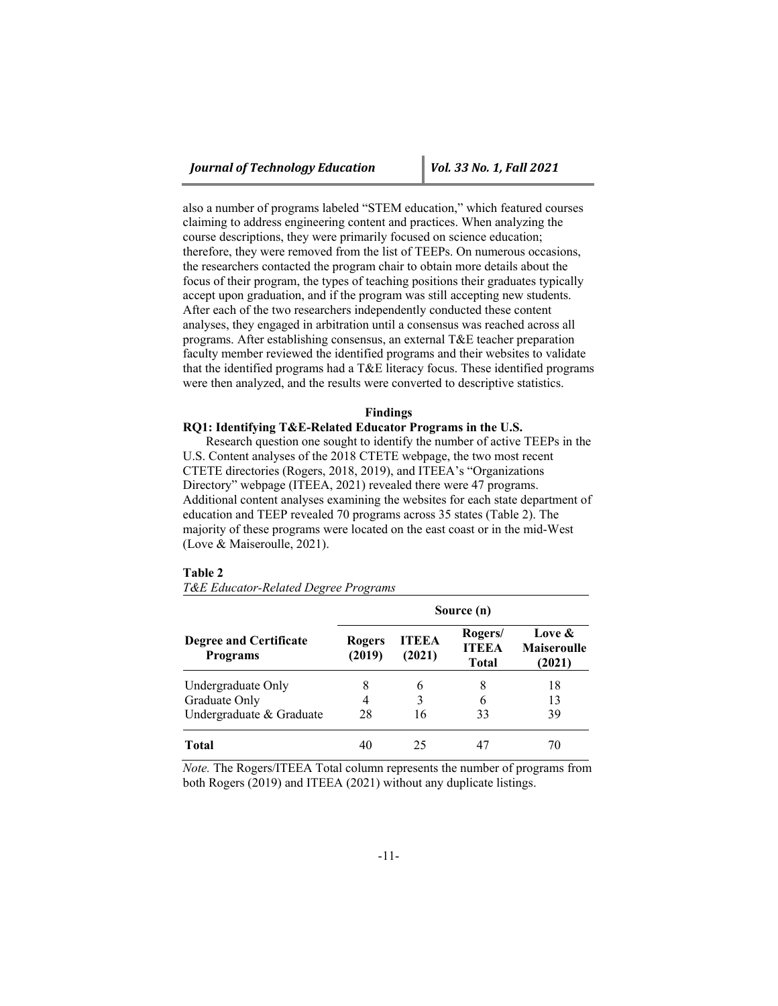also a number of programs labeled "STEM education," which featured courses claiming to address engineering content and practices. When analyzing the course descriptions, they were primarily focused on science education; therefore, they were removed from the list of TEEPs. On numerous occasions, the researchers contacted the program chair to obtain more details about the focus of their program, the types of teaching positions their graduates typically accept upon graduation, and if the program was still accepting new students. After each of the two researchers independently conducted these content analyses, they engaged in arbitration until a consensus was reached across all programs. After establishing consensus, an external T&E teacher preparation faculty member reviewed the identified programs and their websites to validate that the identified programs had a T&E literacy focus. These identified programs were then analyzed, and the results were converted to descriptive statistics.

### **Findings**

## **RQ1: Identifying T&E-Related Educator Programs in the U.S.**

Research question one sought to identify the number of active TEEPs in the U.S. Content analyses of the 2018 CTETE webpage, the two most recent CTETE directories (Rogers, 2018, 2019), and ITEEA's "Organizations Directory" webpage (ITEEA, 2021) revealed there were 47 programs. Additional content analyses examining the websites for each state department of education and TEEP revealed 70 programs across 35 states (Table 2). The majority of these programs were located on the east coast or in the mid-West (Love & Maiseroulle, 2021).

#### **Table 2**

*T&E Educator-Related Degree Programs*

|                                                  | Source (n)              |                        |                                  |                                        |  |  |
|--------------------------------------------------|-------------------------|------------------------|----------------------------------|----------------------------------------|--|--|
| <b>Degree and Certificate</b><br><b>Programs</b> | <b>Rogers</b><br>(2019) | <b>ITEEA</b><br>(2021) | Rogers/<br><b>ITEEA</b><br>Total | Love &<br><b>Maiseroulle</b><br>(2021) |  |  |
| Undergraduate Only                               | 8                       | 6                      | 8                                | 18                                     |  |  |
| Graduate Only                                    | 4                       | 3                      |                                  | 13                                     |  |  |
| Undergraduate & Graduate                         | 28                      | 16                     | 33                               | 39                                     |  |  |
| Total                                            | 40                      | 25                     |                                  | 70                                     |  |  |

*Note.* The Rogers/ITEEA Total column represents the number of programs from both Rogers (2019) and ITEEA (2021) without any duplicate listings.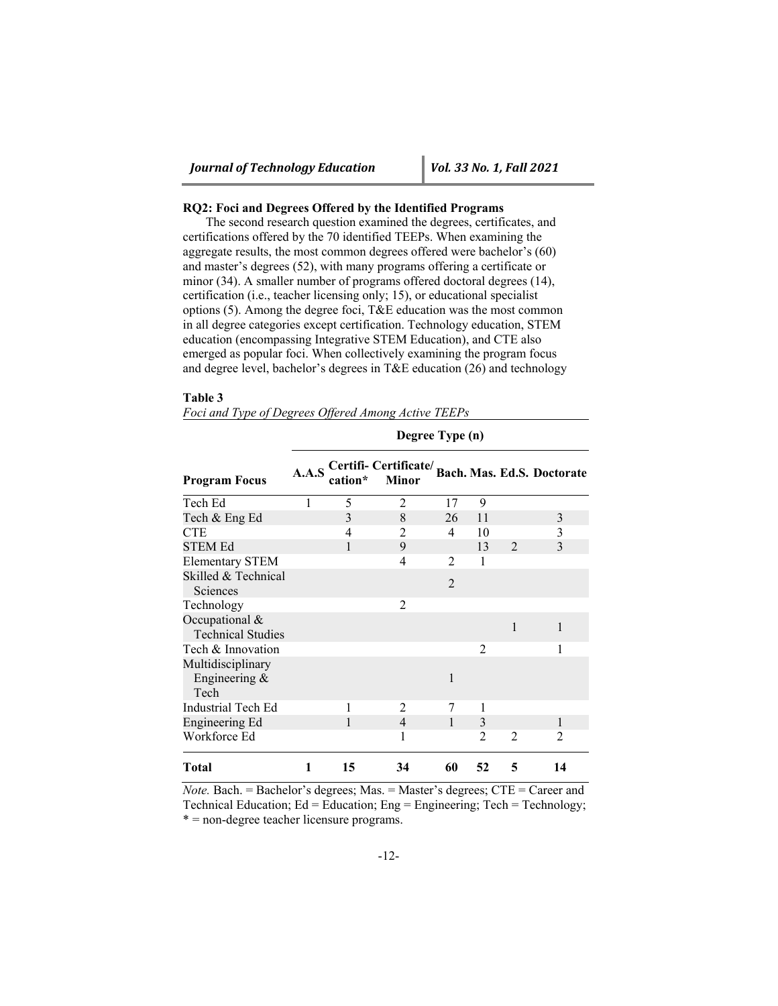## **RQ2: Foci and Degrees Offered by the Identified Programs**

The second research question examined the degrees, certificates, and certifications offered by the 70 identified TEEPs. When examining the aggregate results, the most common degrees offered were bachelor's (60) and master's degrees (52), with many programs offering a certificate or minor (34). A smaller number of programs offered doctoral degrees (14), certification (i.e., teacher licensing only; 15), or educational specialist options (5). Among the degree foci, T&E education was the most common in all degree categories except certification. Technology education, STEM education (encompassing Integrative STEM Education), and CTE also emerged as popular foci. When collectively examining the program focus and degree level, bachelor's degrees in T&E education (26) and technology

#### **Table 3**

|  | Foci and Type of Degrees Offered Among Active TEEPs |  |  |
|--|-----------------------------------------------------|--|--|
|  |                                                     |  |  |

| <b>Program Focus</b>                       | A.A.S | cation* | Certifi-Certificate/Bach. Mas. Ed.S. Doctorate<br>Minor |                               |                |                |                             |
|--------------------------------------------|-------|---------|---------------------------------------------------------|-------------------------------|----------------|----------------|-----------------------------|
| Tech Ed                                    |       | 5       | $\overline{2}$                                          | 17                            | 9              |                |                             |
| Tech & Eng Ed                              |       | 3       | 8                                                       | 26                            | 11             |                | 3                           |
| <b>CTE</b>                                 |       | 4       | 2                                                       | 4                             | 10             |                | 3                           |
| <b>STEM Ed</b>                             |       | 1       | 9                                                       |                               | 13             | $\mathfrak{D}$ | 3                           |
| Elementary STEM                            |       |         | 4                                                       | $\mathfrak{D}_{\mathfrak{p}}$ | 1              |                |                             |
| Skilled & Technical<br>Sciences            |       |         |                                                         | $\mathfrak{D}$                |                |                |                             |
| Technology                                 |       |         | $\overline{2}$                                          |                               |                |                |                             |
| Occupational &<br><b>Technical Studies</b> |       |         |                                                         |                               |                | $\mathbf{1}$   | $\mathbf{1}$                |
| Tech & Innovation                          |       |         |                                                         |                               | 2              |                | 1                           |
| Multidisciplinary<br>Engineering &<br>Tech |       |         |                                                         | $\mathbf{1}$                  |                |                |                             |
| Industrial Tech Ed                         |       |         | $\overline{2}$                                          | 7                             |                |                |                             |
| Engineering Ed                             |       | 1       | $\overline{4}$                                          | $\mathbf{1}$                  | 3              |                | 1                           |
| Workforce Ed                               |       |         | 1                                                       |                               | $\mathfrak{D}$ | 2              | $\mathcal{D}_{\mathcal{L}}$ |
| Total                                      | 1     | 15      | 34                                                      | 60                            | 52             | 5              | 14                          |

**Degree Type (n)** 

*Note.* Bach. = Bachelor's degrees; Mas. = Master's degrees; CTE = Career and Technical Education; Ed = Education; Eng = Engineering; Tech = Technology; \* = non-degree teacher licensure programs.

-12-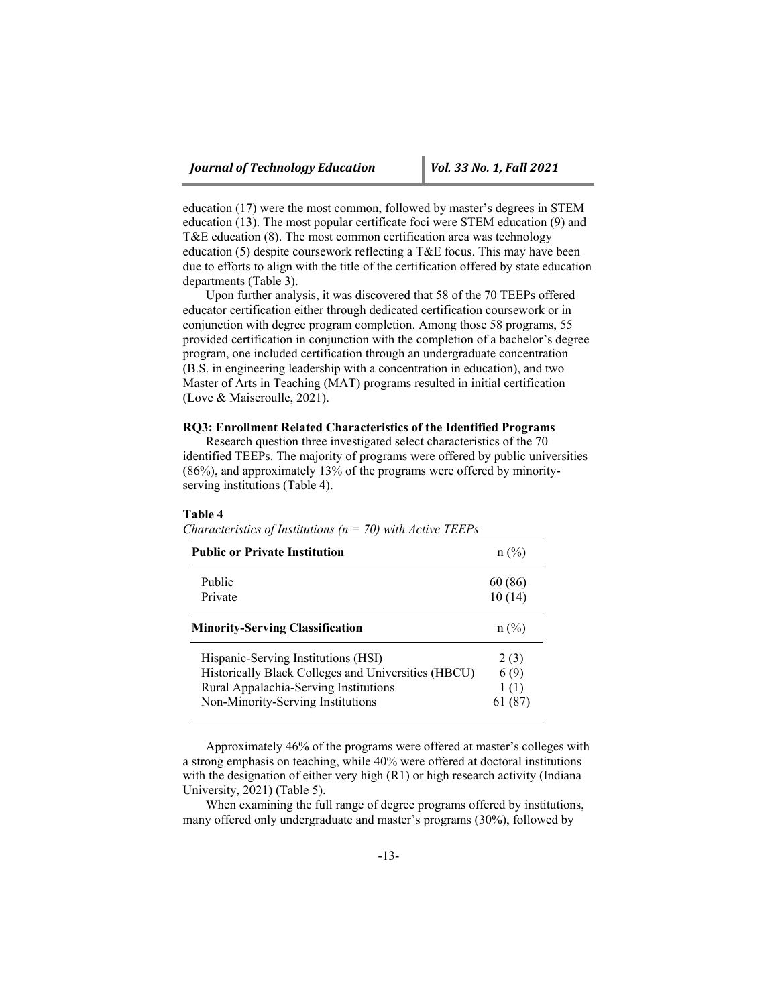education (17) were the most common, followed by master's degrees in STEM education (13). The most popular certificate foci were STEM education (9) and T&E education (8). The most common certification area was technology education (5) despite coursework reflecting a T&E focus. This may have been due to efforts to align with the title of the certification offered by state education departments (Table 3).

Upon further analysis, it was discovered that 58 of the 70 TEEPs offered educator certification either through dedicated certification coursework or in conjunction with degree program completion. Among those 58 programs, 55 provided certification in conjunction with the completion of a bachelor's degree program, one included certification through an undergraduate concentration (B.S. in engineering leadership with a concentration in education), and two Master of Arts in Teaching (MAT) programs resulted in initial certification (Love & Maiseroulle, 2021).

#### **RQ3: Enrollment Related Characteristics of the Identified Programs**

Research question three investigated select characteristics of the 70 identified TEEPs. The majority of programs were offered by public universities (86%), and approximately 13% of the programs were offered by minorityserving institutions (Table 4).

#### **Table 4**

| <b>Public or Private Institution</b>                | $n\ (\%)$ |
|-----------------------------------------------------|-----------|
| Public                                              | 60 (86)   |
| Private                                             | 10(14)    |
| <b>Minority-Serving Classification</b>              | $n$ (%)   |
| Hispanic-Serving Institutions (HSI)                 | 2(3)      |
| Historically Black Colleges and Universities (HBCU) | 6(9)      |
| Rural Appalachia-Serving Institutions               | 1(1)      |
| Non-Minority-Serving Institutions                   |           |

*Characteristics of Institutions (n = 70) with Active TEEPs* 

Approximately 46% of the programs were offered at master's colleges with a strong emphasis on teaching, while 40% were offered at doctoral institutions with the designation of either very high (R1) or high research activity (Indiana University, 2021) (Table 5).

When examining the full range of degree programs offered by institutions, many offered only undergraduate and master's programs (30%), followed by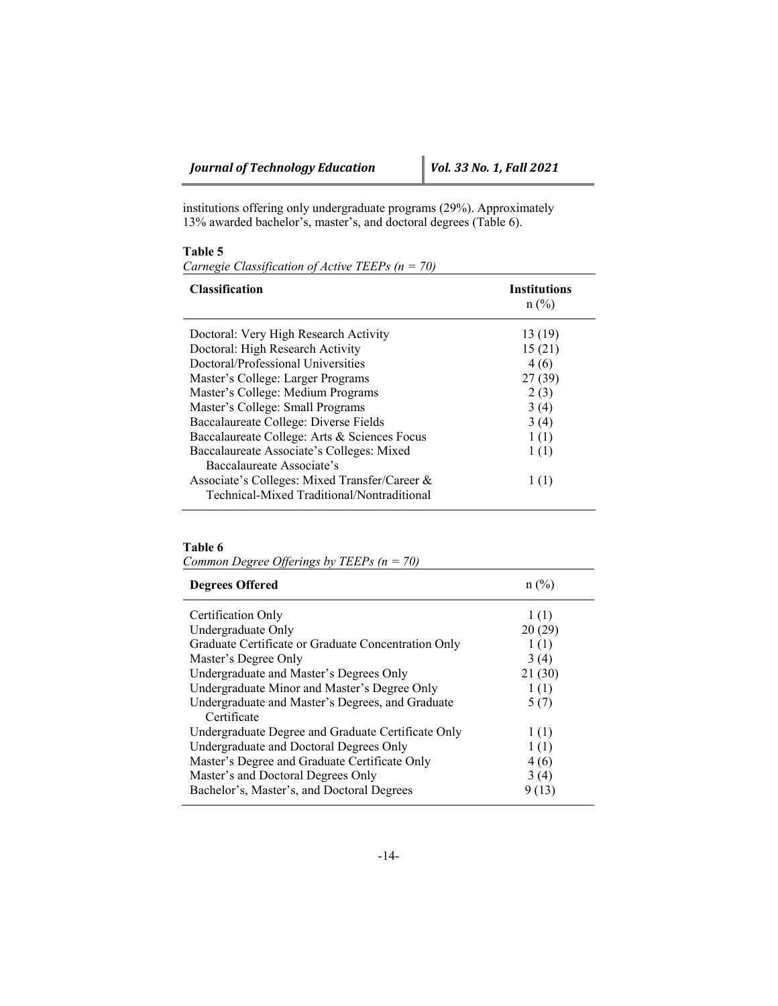institutions offering only undergraduate programs (29%). Approximately 13% awarded bachelor's, master's, and doctoral degrees (Table 6).

## **Table 5**

*Carnegie Classification of Active TEEPs (n = 70)* 

| <b>Classification</b>                         | <b>Institutions</b><br>$n$ (%) |
|-----------------------------------------------|--------------------------------|
| Doctoral: Very High Research Activity         | 13 (19)                        |
| Doctoral: High Research Activity              | 15(21)                         |
| Doctoral/Professional Universities            | 4(6)                           |
| Master's College: Larger Programs             | 27 (39)                        |
| Master's College: Medium Programs             | 2(3)                           |
| Master's College: Small Programs              | 3(4)                           |
| Baccalaureate College: Diverse Fields         | 3(4)                           |
| Baccalaureate College: Arts & Sciences Focus  | 1(1)                           |
| Baccalaureate Associate's Colleges: Mixed     | 1(1)                           |
| Baccalaureate Associate's                     |                                |
| Associate's Colleges: Mixed Transfer/Career & | 1(1)                           |
| Technical-Mixed Traditional/Nontraditional    |                                |

## **Table 6**

*Common Degree Offerings by TEEPs (n = 70)* 

| <b>Degrees Offered</b>                                          | $n\sqrt{6}$ |
|-----------------------------------------------------------------|-------------|
| Certification Only                                              | 1(1)        |
| Undergraduate Only                                              | 20(29)      |
| Graduate Certificate or Graduate Concentration Only             | 1(1)        |
| Master's Degree Only                                            | 3(4)        |
| Undergraduate and Master's Degrees Only                         | 21(30)      |
| Undergraduate Minor and Master's Degree Only                    | 1(1)        |
| Undergraduate and Master's Degrees, and Graduate<br>Certificate | 5(7)        |
| Undergraduate Degree and Graduate Certificate Only              | 1(1)        |
| Undergraduate and Doctoral Degrees Only                         | 1(1)        |
| Master's Degree and Graduate Certificate Only                   | 4 (6)       |
| Master's and Doctoral Degrees Only                              | 3(4)        |
| Bachelor's, Master's, and Doctoral Degrees                      | (13)        |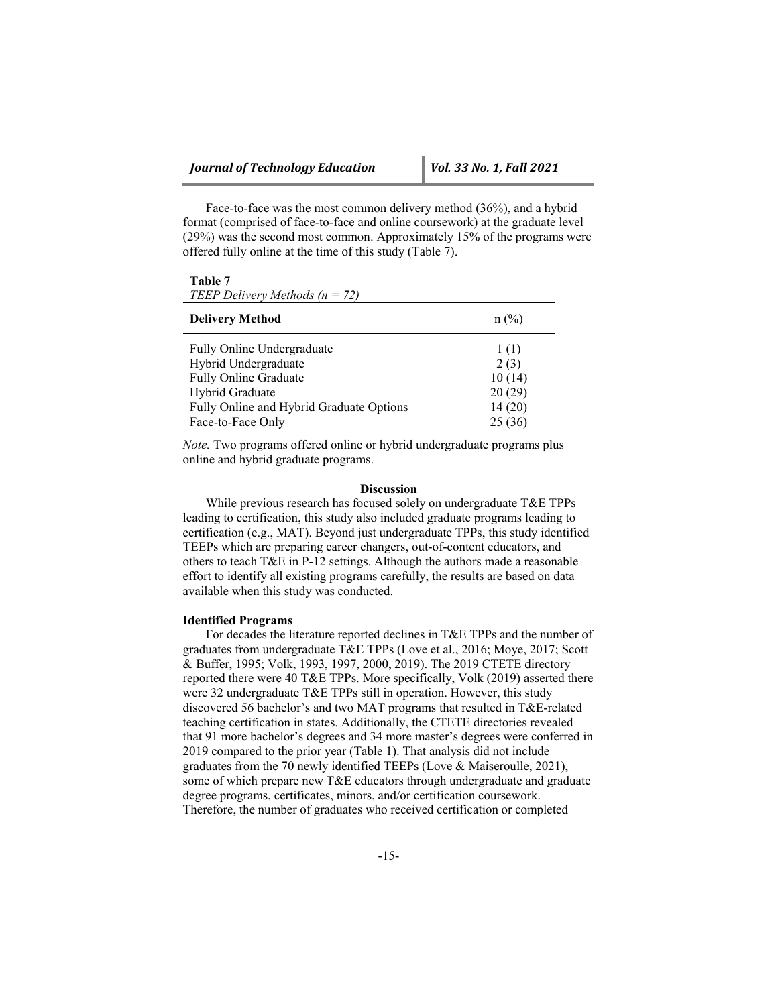Face-to-face was the most common delivery method (36%), and a hybrid format (comprised of face-to-face and online coursework) at the graduate level (29%) was the second most common. Approximately 15% of the programs were offered fully online at the time of this study (Table 7).

#### **Table 7**

| $n$ (%) |
|---------|
| 1(1)    |
| 2(3)    |
| 10(14)  |
| 20(29)  |
| 14(20)  |
| 25(36)  |
|         |

*Note.* Two programs offered online or hybrid undergraduate programs plus online and hybrid graduate programs.

## **Discussion**

While previous research has focused solely on undergraduate T&E TPPs leading to certification, this study also included graduate programs leading to certification (e.g., MAT). Beyond just undergraduate TPPs, this study identified TEEPs which are preparing career changers, out-of-content educators, and others to teach T&E in P-12 settings. Although the authors made a reasonable effort to identify all existing programs carefully, the results are based on data available when this study was conducted.

## **Identified Programs**

For decades the literature reported declines in T&E TPPs and the number of graduates from undergraduate T&E TPPs (Love et al., 2016; Moye, 2017; Scott & Buffer, 1995; Volk, 1993, 1997, 2000, 2019). The 2019 CTETE directory reported there were 40 T&E TPPs. More specifically, Volk (2019) asserted there were 32 undergraduate T&E TPPs still in operation. However, this study discovered 56 bachelor's and two MAT programs that resulted in T&E-related teaching certification in states. Additionally, the CTETE directories revealed that 91 more bachelor's degrees and 34 more master's degrees were conferred in 2019 compared to the prior year (Table 1). That analysis did not include graduates from the 70 newly identified TEEPs (Love & Maiseroulle, 2021), some of which prepare new T&E educators through undergraduate and graduate degree programs, certificates, minors, and/or certification coursework. Therefore, the number of graduates who received certification or completed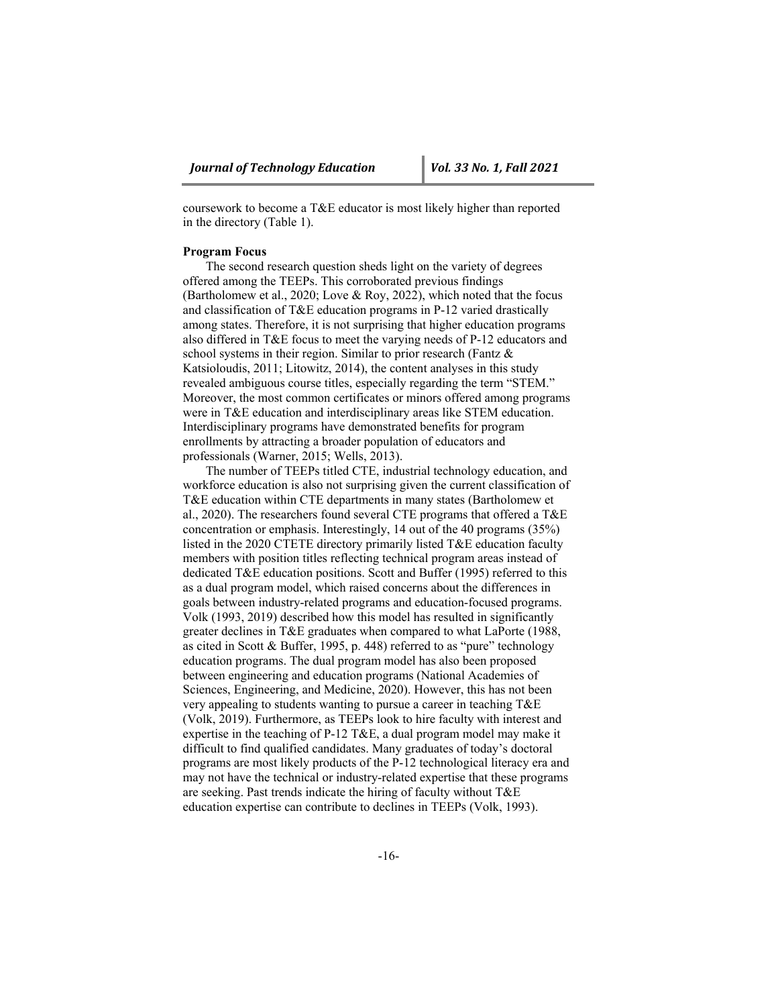coursework to become a T&E educator is most likely higher than reported in the directory (Table 1).

## **Program Focus**

The second research question sheds light on the variety of degrees offered among the TEEPs. This corroborated previous findings (Bartholomew et al., 2020; Love & Roy, 2022), which noted that the focus and classification of T&E education programs in P-12 varied drastically among states. Therefore, it is not surprising that higher education programs also differed in T&E focus to meet the varying needs of P-12 educators and school systems in their region. Similar to prior research (Fantz & Katsioloudis, 2011; Litowitz, 2014), the content analyses in this study revealed ambiguous course titles, especially regarding the term "STEM." Moreover, the most common certificates or minors offered among programs were in T&E education and interdisciplinary areas like STEM education. Interdisciplinary programs have demonstrated benefits for program enrollments by attracting a broader population of educators and professionals (Warner, 2015; Wells, 2013).

The number of TEEPs titled CTE, industrial technology education, and workforce education is also not surprising given the current classification of T&E education within CTE departments in many states (Bartholomew et al., 2020). The researchers found several CTE programs that offered a T&E concentration or emphasis. Interestingly, 14 out of the 40 programs (35%) listed in the 2020 CTETE directory primarily listed T&E education faculty members with position titles reflecting technical program areas instead of dedicated T&E education positions. Scott and Buffer (1995) referred to this as a dual program model, which raised concerns about the differences in goals between industry-related programs and education-focused programs. Volk (1993, 2019) described how this model has resulted in significantly greater declines in T&E graduates when compared to what LaPorte (1988, as cited in Scott & Buffer, 1995, p. 448) referred to as "pure" technology education programs. The dual program model has also been proposed between engineering and education programs (National Academies of Sciences, Engineering, and Medicine, 2020). However, this has not been very appealing to students wanting to pursue a career in teaching T&E (Volk, 2019). Furthermore, as TEEPs look to hire faculty with interest and expertise in the teaching of P-12 T&E, a dual program model may make it difficult to find qualified candidates. Many graduates of today's doctoral programs are most likely products of the P-12 technological literacy era and may not have the technical or industry-related expertise that these programs are seeking. Past trends indicate the hiring of faculty without T&E education expertise can contribute to declines in TEEPs (Volk, 1993).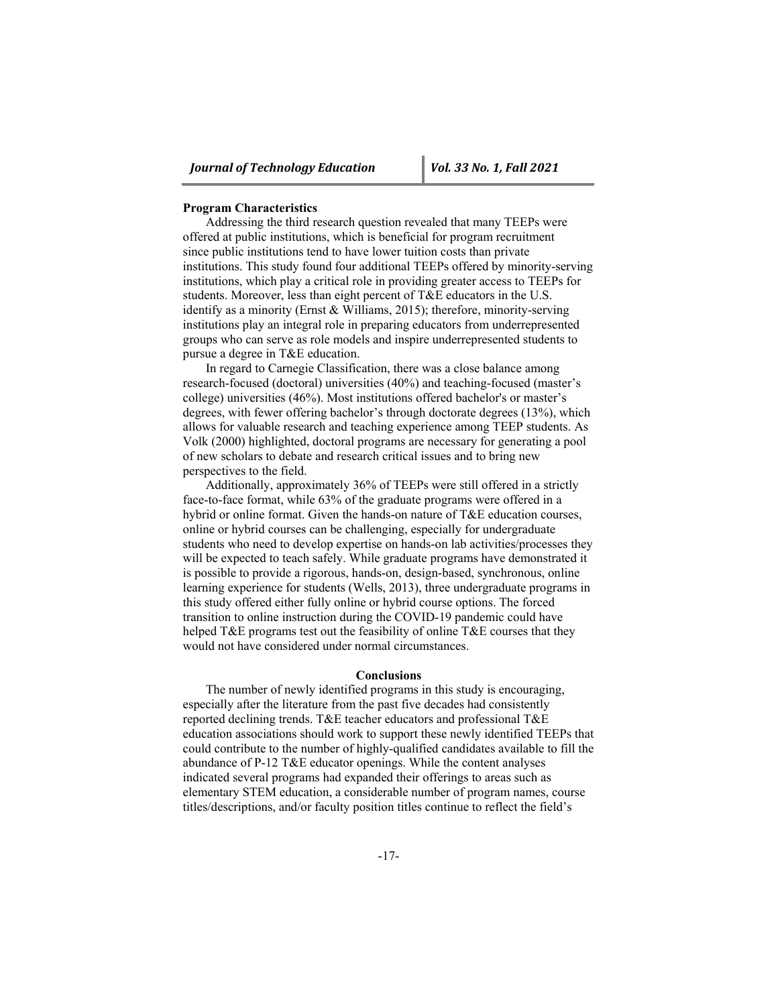#### **Program Characteristics**

Addressing the third research question revealed that many TEEPs were offered at public institutions, which is beneficial for program recruitment since public institutions tend to have lower tuition costs than private institutions. This study found four additional TEEPs offered by minority-serving institutions, which play a critical role in providing greater access to TEEPs for students. Moreover, less than eight percent of T&E educators in the U.S. identify as a minority (Ernst & Williams, 2015); therefore, minority-serving institutions play an integral role in preparing educators from underrepresented groups who can serve as role models and inspire underrepresented students to pursue a degree in T&E education.

In regard to Carnegie Classification, there was a close balance among research-focused (doctoral) universities (40%) and teaching-focused (master's college) universities (46%). Most institutions offered bachelor's or master's degrees, with fewer offering bachelor's through doctorate degrees (13%), which allows for valuable research and teaching experience among TEEP students. As Volk (2000) highlighted, doctoral programs are necessary for generating a pool of new scholars to debate and research critical issues and to bring new perspectives to the field.

Additionally, approximately 36% of TEEPs were still offered in a strictly face-to-face format, while 63% of the graduate programs were offered in a hybrid or online format. Given the hands-on nature of T&E education courses, online or hybrid courses can be challenging, especially for undergraduate students who need to develop expertise on hands-on lab activities/processes they will be expected to teach safely. While graduate programs have demonstrated it is possible to provide a rigorous, hands-on, design-based, synchronous, online learning experience for students (Wells, 2013), three undergraduate programs in this study offered either fully online or hybrid course options. The forced transition to online instruction during the COVID-19 pandemic could have helped T&E programs test out the feasibility of online T&E courses that they would not have considered under normal circumstances.

#### **Conclusions**

The number of newly identified programs in this study is encouraging, especially after the literature from the past five decades had consistently reported declining trends. T&E teacher educators and professional T&E education associations should work to support these newly identified TEEPs that could contribute to the number of highly-qualified candidates available to fill the abundance of P-12 T&E educator openings. While the content analyses indicated several programs had expanded their offerings to areas such as elementary STEM education, a considerable number of program names, course titles/descriptions, and/or faculty position titles continue to reflect the field's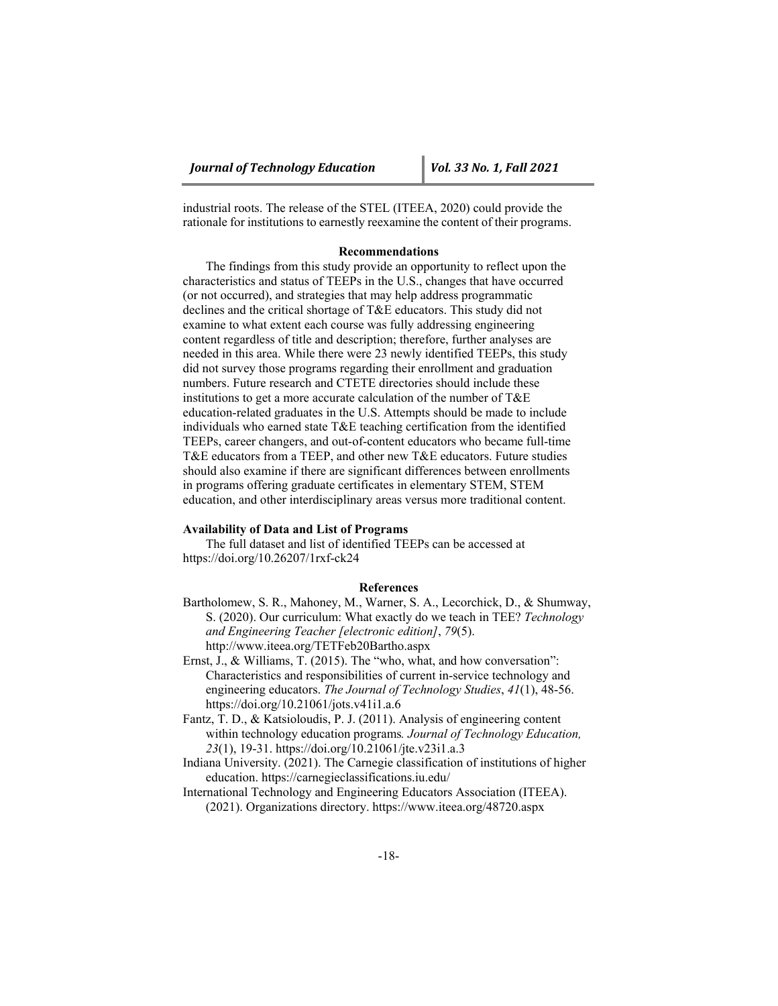industrial roots. The release of the STEL (ITEEA, 2020) could provide the rationale for institutions to earnestly reexamine the content of their programs.

## **Recommendations**

The findings from this study provide an opportunity to reflect upon the characteristics and status of TEEPs in the U.S., changes that have occurred (or not occurred), and strategies that may help address programmatic declines and the critical shortage of T&E educators. This study did not examine to what extent each course was fully addressing engineering content regardless of title and description; therefore, further analyses are needed in this area. While there were 23 newly identified TEEPs, this study did not survey those programs regarding their enrollment and graduation numbers. Future research and CTETE directories should include these institutions to get a more accurate calculation of the number of T&E education-related graduates in the U.S. Attempts should be made to include individuals who earned state T&E teaching certification from the identified TEEPs, career changers, and out-of-content educators who became full-time T&E educators from a TEEP, and other new T&E educators. Future studies should also examine if there are significant differences between enrollments in programs offering graduate certificates in elementary STEM, STEM education, and other interdisciplinary areas versus more traditional content.

#### **Availability of Data and List of Programs**

The full dataset and list of identified TEEPs can be accessed at https://doi.org/10.26207/1rxf-ck24

## **References**

- Bartholomew, S. R., Mahoney, M., Warner, S. A., Lecorchick, D., & Shumway, S. (2020). Our curriculum: What exactly do we teach in TEE? *Technology and Engineering Teacher [electronic edition]*, *79*(5). http://www.iteea.org/TETFeb20Bartho.aspx
- Ernst, J., & Williams, T. (2015). The "who, what, and how conversation": Characteristics and responsibilities of current in-service technology and engineering educators. *The Journal of Technology Studies*, *41*(1), 48-56. https://doi.org/10.21061/jots.v41i1.a.6
- Fantz, T. D., & Katsioloudis, P. J. (2011). Analysis of engineering content within technology education programs*. Journal of Technology Education, 23*(1), 19-31. https://doi.org/10.21061/jte.v23i1.a.3
- Indiana University. (2021). The Carnegie classification of institutions of higher education. https://carnegieclassifications.iu.edu/

International Technology and Engineering Educators Association (ITEEA). (2021). Organizations directory. https://www.iteea.org/48720.aspx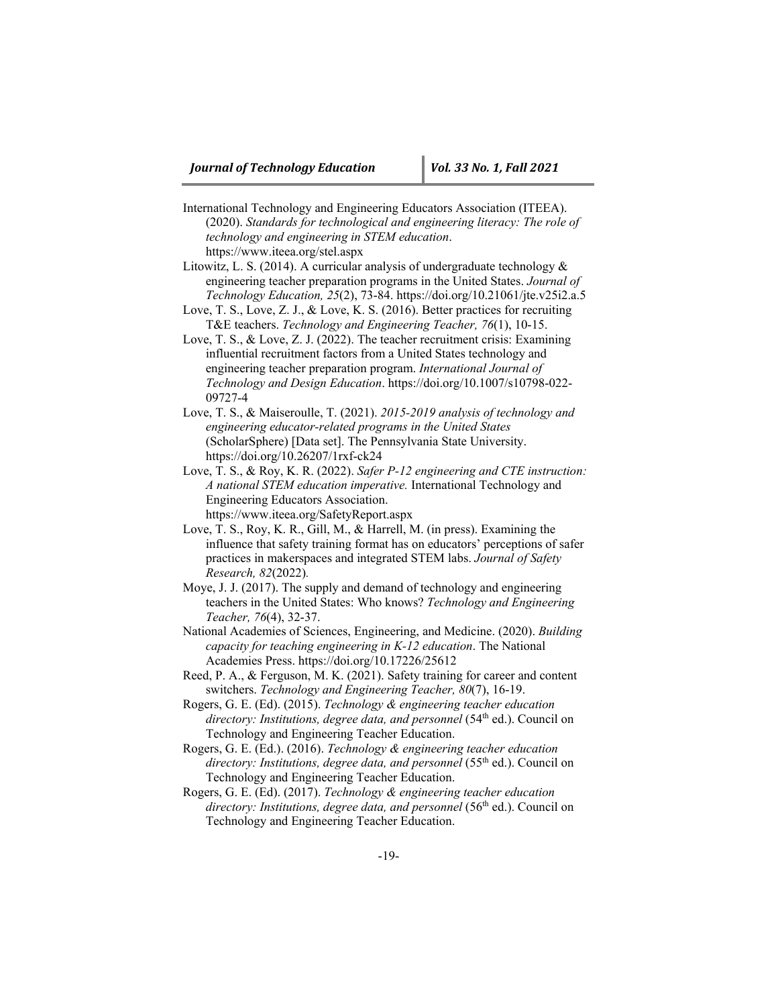- International Technology and Engineering Educators Association (ITEEA). (2020). *Standards for technological and engineering literacy: The role of technology and engineering in STEM education*. https://www.iteea.org/stel.aspx
- Litowitz, L. S. (2014). A curricular analysis of undergraduate technology & engineering teacher preparation programs in the United States. *Journal of Technology Education, 25*(2), 73-84. https://doi.org/10.21061/jte.v25i2.a.5
- Love, T. S., Love, Z. J., & Love, K. S. (2016). Better practices for recruiting T&E teachers. *Technology and Engineering Teacher, 76*(1), 10-15.
- Love, T. S., & Love, Z. J. (2022). The teacher recruitment crisis: Examining influential recruitment factors from a United States technology and engineering teacher preparation program. *International Journal of Technology and Design Education*. https://doi.org/10.1007/s10798-022- 09727-4
- Love, T. S., & Maiseroulle, T. (2021). *2015-2019 analysis of technology and engineering educator-related programs in the United States*  (ScholarSphere) [Data set]. The Pennsylvania State University. https://doi.org/10.26207/1rxf-ck24
- Love, T. S., & Roy, K. R. (2022). *Safer P-12 engineering and CTE instruction: A national STEM education imperative.* International Technology and Engineering Educators Association. https://www.iteea.org/SafetyReport.aspx
- Love, T. S., Roy, K. R., Gill, M., & Harrell, M. (in press). Examining the influence that safety training format has on educators' perceptions of safer practices in makerspaces and integrated STEM labs. *Journal of Safety Research, 82*(2022)*.*
- Moye, J. J. (2017). The supply and demand of technology and engineering teachers in the United States: Who knows? *Technology and Engineering Teacher, 76*(4), 32-37.
- National Academies of Sciences, Engineering, and Medicine. (2020). *Building capacity for teaching engineering in K-12 education*. The National Academies Press. https://doi.org/10.17226/25612
- Reed, P. A., & Ferguson, M. K. (2021). Safety training for career and content switchers. *Technology and Engineering Teacher, 80*(7), 16-19.
- Rogers, G. E. (Ed). (2015). *Technology & engineering teacher education directory: Institutions, degree data, and personnel* (54<sup>th</sup> ed.). Council on Technology and Engineering Teacher Education.
- Rogers, G. E. (Ed.). (2016). *Technology & engineering teacher education*  directory: *Institutions, degree data, and personnel* (55<sup>th</sup> ed.). Council on Technology and Engineering Teacher Education.
- Rogers, G. E. (Ed). (2017). *Technology & engineering teacher education directory: Institutions, degree data, and personnel* (56<sup>th</sup> ed.). Council on Technology and Engineering Teacher Education.